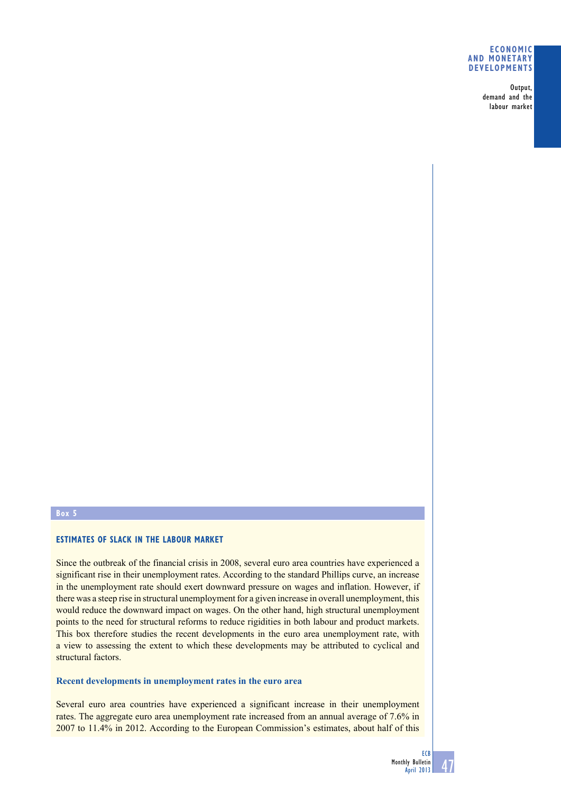#### **Economic and monetary developments**

Output, demand and the labour market

# **Box 5**

## **Estimates of slack in the labour market**

Since the outbreak of the financial crisis in 2008, several euro area countries have experienced a significant rise in their unemployment rates. According to the standard Phillips curve, an increase in the unemployment rate should exert downward pressure on wages and inflation. However, if there was a steep rise in structural unemployment for a given increase in overall unemployment, this would reduce the downward impact on wages. On the other hand, high structural unemployment points to the need for structural reforms to reduce rigidities in both labour and product markets. This box therefore studies the recent developments in the euro area unemployment rate, with a view to assessing the extent to which these developments may be attributed to cyclical and structural factors.

### **Recent developments in unemployment rates in the euro area**

Several euro area countries have experienced a significant increase in their unemployment rates. The aggregate euro area unemployment rate increased from an annual average of 7.6% in 2007 to 11.4% in 2012. According to the European Commission's estimates, about half of this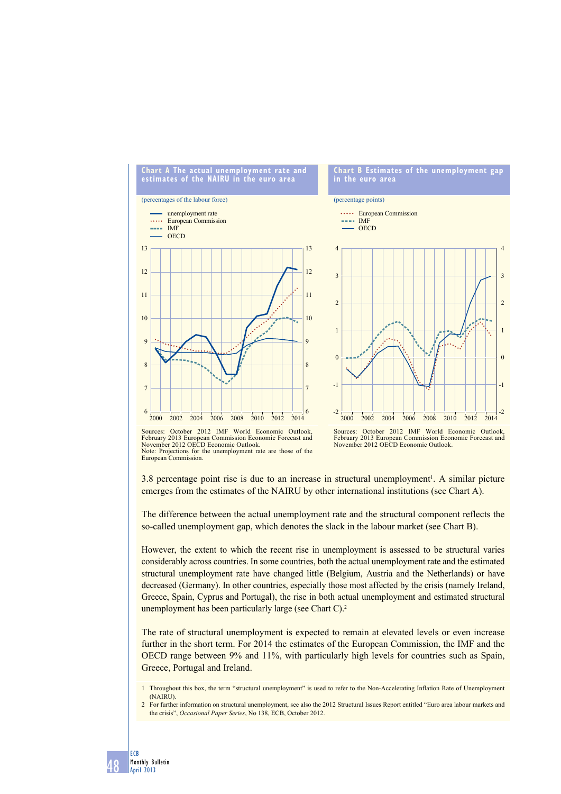

February 2013 European Commission Economic Forecast and November 2012 OECD Economic Outlook. Note: Projections for the unemployment rate are those of the European Commission.

48

ECB Monthly Bulletin April 2013

Sources: October 2012 IMF World Economic Outlook, February 2013 European Commission Economic Forecast and November 2012 OECD Economic Outlook.

3.8 percentage point rise is due to an increase in structural unemployment<sup>1</sup>. A similar picture emerges from the estimates of the NAIRU by other international institutions (see Chart A).

The difference between the actual unemployment rate and the structural component reflects the so-called unemployment gap, which denotes the slack in the labour market (see Chart B).

However, the extent to which the recent rise in unemployment is assessed to be structural varies considerably across countries. In some countries, both the actual unemployment rate and the estimated structural unemployment rate have changed little (Belgium, Austria and the Netherlands) or have decreased (Germany). In other countries, especially those most affected by the crisis (namely Ireland, Greece, Spain, Cyprus and Portugal), the rise in both actual unemployment and estimated structural unemployment has been particularly large (see Chart  $C<sup>2</sup>$ ).

The rate of structural unemployment is expected to remain at elevated levels or even increase further in the short term. For 2014 the estimates of the European Commission, the IMF and the OECD range between 9% and 11%, with particularly high levels for countries such as Spain, Greece, Portugal and Ireland.

<sup>1</sup> Throughout this box, the term "structural unemployment" is used to refer to the Non-Accelerating Inflation Rate of Unemployment (NAIRU).

<sup>2</sup> For further information on structural unemployment, see also the 2012 Structural Issues Report entitled "Euro area labour markets and the crisis", *Occasional Paper Series*, No 138, ECB, October 2012.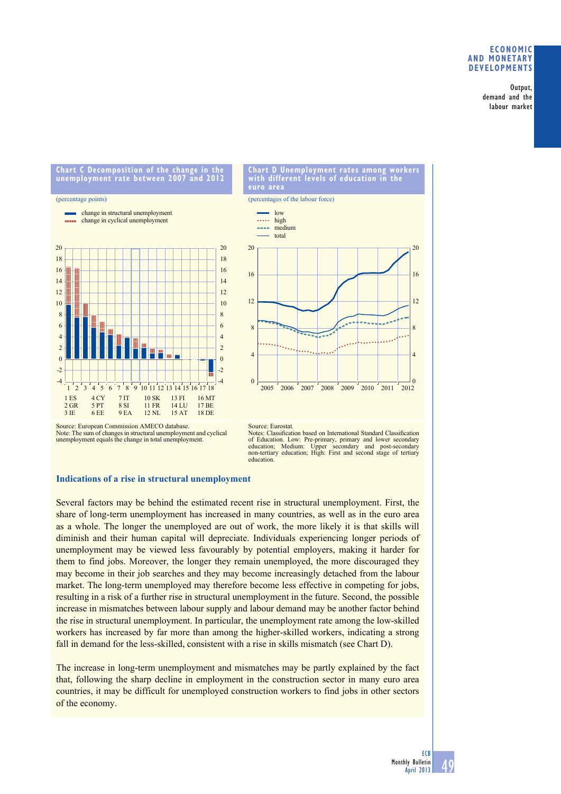### **eConomiC And monetARy deVeloPmentS**

Output, demand and the labour market

**Chart C decomposition of the change in the unemployment rate between 2007 and 2012**

#### (percentage points)

change in structural unemployment **EXECUTE:** change in cyclical unemployment





Source: European Commission AMECO database. Note: The sum of changes in structural unemployment and cyclical unemployment equals the change in total unemployment.

#### Source: Eurostat.

Notes: Classification based on International Standard Classification of Education. Low: Pre-primary, primary and lower secondary education; Medium: Upper secondary and post-secondary non-tertiary education; High: First and second stage of tertiary education.

## **Indications of a rise in structural unemployment**

Several factors may be behind the estimated recent rise in structural unemployment. First, the share of long-term unemployment has increased in many countries, as well as in the euro area as a whole. The longer the unemployed are out of work, the more likely it is that skills will diminish and their human capital will depreciate. Individuals experiencing longer periods of unemployment may be viewed less favourably by potential employers, making it harder for them to find jobs. Moreover, the longer they remain unemployed, the more discouraged they may become in their job searches and they may become increasingly detached from the labour market. The long-term unemployed may therefore become less effective in competing for jobs, resulting in a risk of a further rise in structural unemployment in the future. Second, the possible increase in mismatches between labour supply and labour demand may be another factor behind the rise in structural unemployment. In particular, the unemployment rate among the low-skilled workers has increased by far more than among the higher-skilled workers, indicating a strong fall in demand for the less-skilled, consistent with a rise in skills mismatch (see Chart D).

The increase in long-term unemployment and mismatches may be partly explained by the fact that, following the sharp decline in employment in the construction sector in many euro area countries, it may be difficult for unemployed construction workers to find jobs in other sectors of the economy.